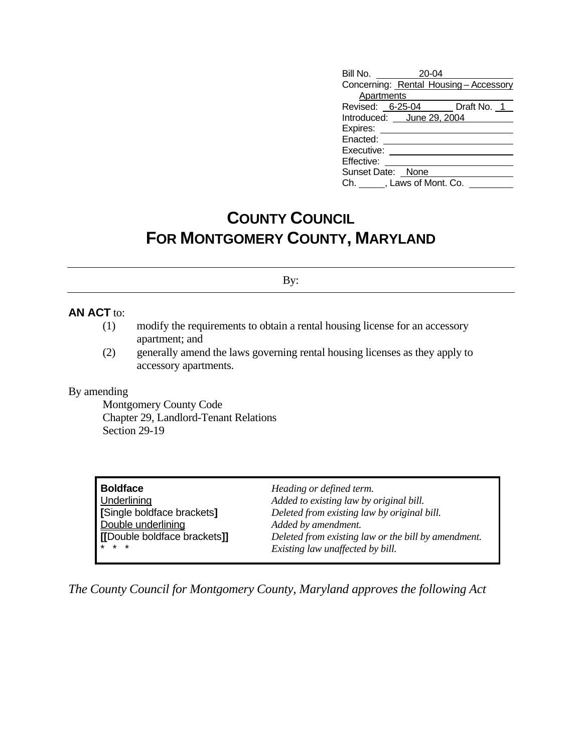| Bill No. 20-04                       |  |  |  |  |  |  |
|--------------------------------------|--|--|--|--|--|--|
| Concerning: Rental Housing-Accessory |  |  |  |  |  |  |
| Apartments                           |  |  |  |  |  |  |
| Revised: 6-25-04 Draft No. 1         |  |  |  |  |  |  |
| Introduced: June 29, 2004            |  |  |  |  |  |  |
| Expires: _____                       |  |  |  |  |  |  |
| Enacted: _______                     |  |  |  |  |  |  |
| Executive:                           |  |  |  |  |  |  |
| Effective:                           |  |  |  |  |  |  |
| Sunset Date: None                    |  |  |  |  |  |  |
| Ch. , Laws of Mont. Co.              |  |  |  |  |  |  |

## **COUNTY COUNCIL FOR MONTGOMERY COUNTY, MARYLAND**

By:

## **AN ACT** to:

- (1) modify the requirements to obtain a rental housing license for an accessory apartment; and
- (2) generally amend the laws governing rental housing licenses as they apply to accessory apartments.

## By amending

 Montgomery County Code Chapter 29, Landlord-Tenant Relations Section 29-19

| <b>Boldface</b>             | Heading or defined term.                            |
|-----------------------------|-----------------------------------------------------|
| Underlining                 | Added to existing law by original bill.             |
| [Single boldface brackets]  | Deleted from existing law by original bill.         |
| Double underlining          | Added by amendment.                                 |
| [Double boldface brackets]] | Deleted from existing law or the bill by amendment. |
| $* * *$                     | Existing law unaffected by bill.                    |

*The County Council for Montgomery County, Maryland approves the following Act*